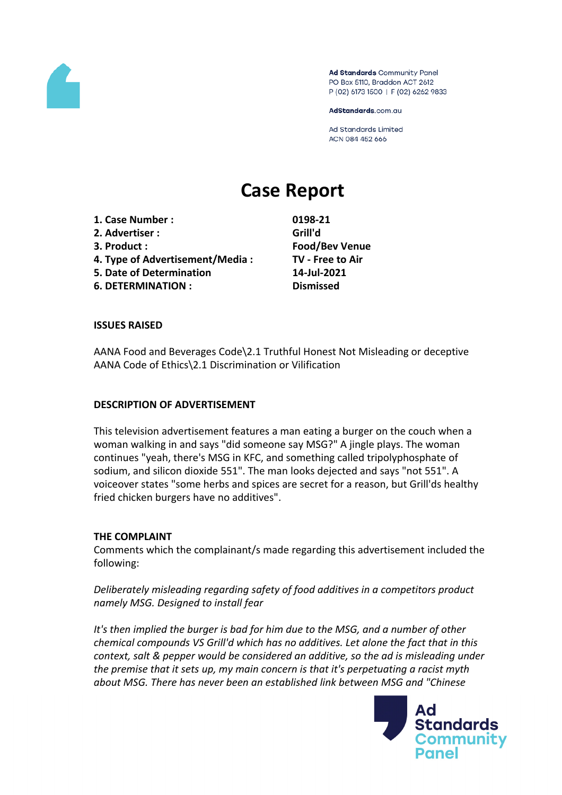

Ad Standards Community Panel PO Box 5110, Braddon ACT 2612 P (02) 6173 1500 | F (02) 6262 9833

AdStandards.com.au

**Ad Standards Limited** ACN 084 452 666

# **Case Report**

**1. Case Number : 0198-21 2. Advertiser : Grill'd 3. Product : Food/Bev Venue 4. Type of Advertisement/Media : TV - Free to Air**

- **5. Date of Determination 14-Jul-2021**
- **6. DETERMINATION : Dismissed**

# **ISSUES RAISED**

AANA Food and Beverages Code\2.1 Truthful Honest Not Misleading or deceptive AANA Code of Ethics\2.1 Discrimination or Vilification

#### **DESCRIPTION OF ADVERTISEMENT**

This television advertisement features a man eating a burger on the couch when a woman walking in and says "did someone say MSG?" A jingle plays. The woman continues "yeah, there's MSG in KFC, and something called tripolyphosphate of sodium, and silicon dioxide 551". The man looks dejected and says "not 551". A voiceover states "some herbs and spices are secret for a reason, but Grill'ds healthy fried chicken burgers have no additives".

# **THE COMPLAINT**

Comments which the complainant/s made regarding this advertisement included the following:

*Deliberately misleading regarding safety of food additives in a competitors product namely MSG. Designed to install fear*

*It's then implied the burger is bad for him due to the MSG, and a number of other chemical compounds VS Grill'd which has no additives. Let alone the fact that in this context, salt & pepper would be considered an additive, so the ad is misleading under the premise that it sets up, my main concern is that it's perpetuating a racist myth about MSG. There has never been an established link between MSG and "Chinese*

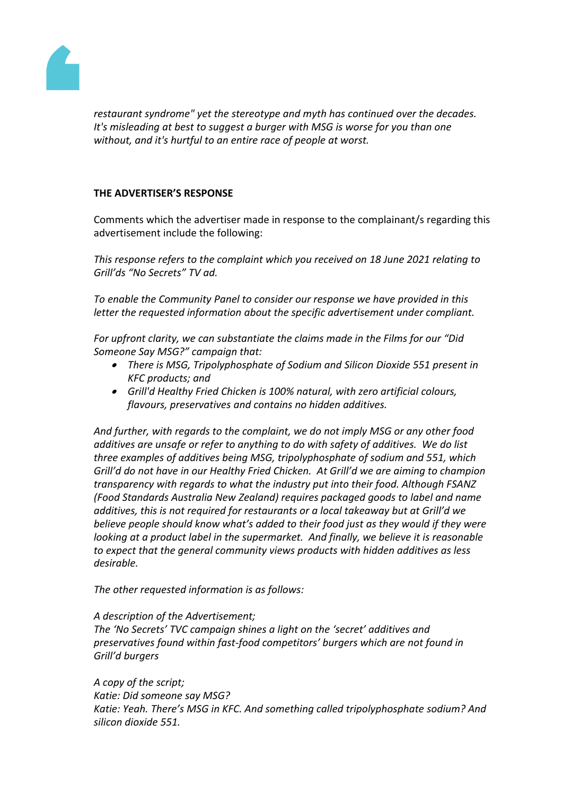

*restaurant syndrome" yet the stereotype and myth has continued over the decades. It's misleading at best to suggest a burger with MSG is worse for you than one without, and it's hurtful to an entire race of people at worst.*

# **THE ADVERTISER'S RESPONSE**

Comments which the advertiser made in response to the complainant/s regarding this advertisement include the following:

*This response refers to the complaint which you received on 18 June 2021 relating to Grill'ds "No Secrets" TV ad.*

*To enable the Community Panel to consider our response we have provided in this letter the requested information about the specific advertisement under compliant.* 

*For upfront clarity, we can substantiate the claims made in the Films for our "Did Someone Say MSG?" campaign that:*

- *There is MSG, Tripolyphosphate of Sodium and Silicon Dioxide 551 present in KFC products; and*
- *Grill'd Healthy Fried Chicken is 100% natural, with zero artificial colours, flavours, preservatives and contains no hidden additives.*

*And further, with regards to the complaint, we do not imply MSG or any other food additives are unsafe or refer to anything to do with safety of additives. We do list three examples of additives being MSG, tripolyphosphate of sodium and 551, which Grill'd do not have in our Healthy Fried Chicken. At Grill'd we are aiming to champion transparency with regards to what the industry put into their food. Although FSANZ (Food Standards Australia New Zealand) requires packaged goods to label and name additives, this is not required for restaurants or a local takeaway but at Grill'd we believe people should know what's added to their food just as they would if they were looking at a product label in the supermarket. And finally, we believe it is reasonable to expect that the general community views products with hidden additives as less desirable.*

*The other requested information is as follows:*

#### *A description of the Advertisement;*

*The 'No Secrets' TVC campaign shines a light on the 'secret' additives and preservatives found within fast-food competitors' burgers which are not found in Grill'd burgers*

*A copy of the script; Katie: Did someone say MSG? Katie: Yeah. There's MSG in KFC. And something called tripolyphosphate sodium? And silicon dioxide 551.*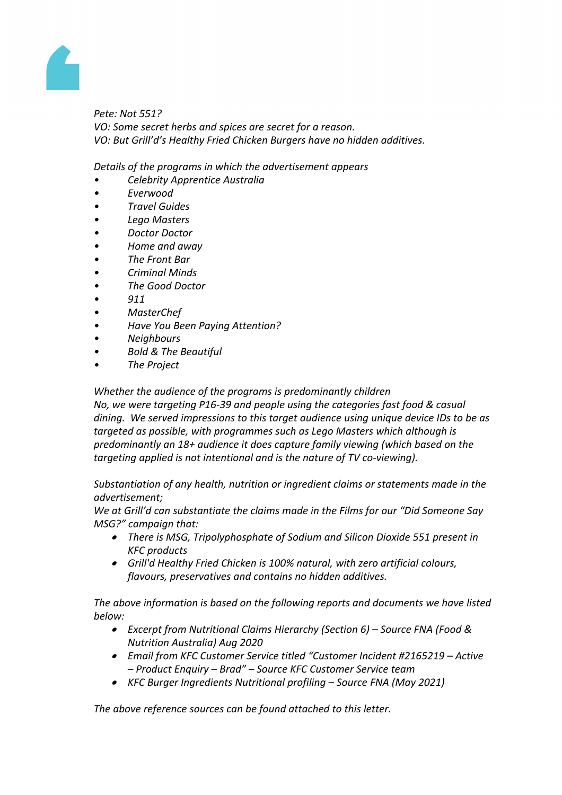

*Pete: Not 551? VO: Some secret herbs and spices are secret for a reason. VO: But Grill'd's Healthy Fried Chicken Burgers have no hidden additives.*

*Details of the programs in which the advertisement appears*

- *• Celebrity Apprentice Australia*
- *• Everwood*
- *• Travel Guides*
- *• Lego Masters*
- *• Doctor Doctor*
- *• Home and away*
- *• The Front Bar*
- *• Criminal Minds*
- *• The Good Doctor*
- *• 911*
- *• MasterChef*
- *• Have You Been Paying Attention?*
- *• Neighbours*
- *• Bold & The Beautiful*
- *• The Project*

*Whether the audience of the programs is predominantly children*

*No, we were targeting P16-39 and people using the categories fast food & casual dining. We served impressions to this target audience using unique device IDs to be as targeted as possible, with programmes such as Lego Masters which although is predominantly an 18+ audience it does capture family viewing (which based on the targeting applied is not intentional and is the nature of TV co-viewing).*

*Substantiation of any health, nutrition or ingredient claims or statements made in the advertisement;*

*We at Grill'd can substantiate the claims made in the Films for our "Did Someone Say MSG?" campaign that:*

- *There is MSG, Tripolyphosphate of Sodium and Silicon Dioxide 551 present in KFC products*
- *Grill'd Healthy Fried Chicken is 100% natural, with zero artificial colours, flavours, preservatives and contains no hidden additives.*

*The above information is based on the following reports and documents we have listed below:*

- *Excerpt from Nutritional Claims Hierarchy (Section 6) – Source FNA (Food & Nutrition Australia) Aug 2020*
- *Email from KFC Customer Service titled "Customer Incident #2165219 – Active – Product Enquiry – Brad" – Source KFC Customer Service team*
- *KFC Burger Ingredients Nutritional profiling – Source FNA (May 2021)*

*The above reference sources can be found attached to this letter.*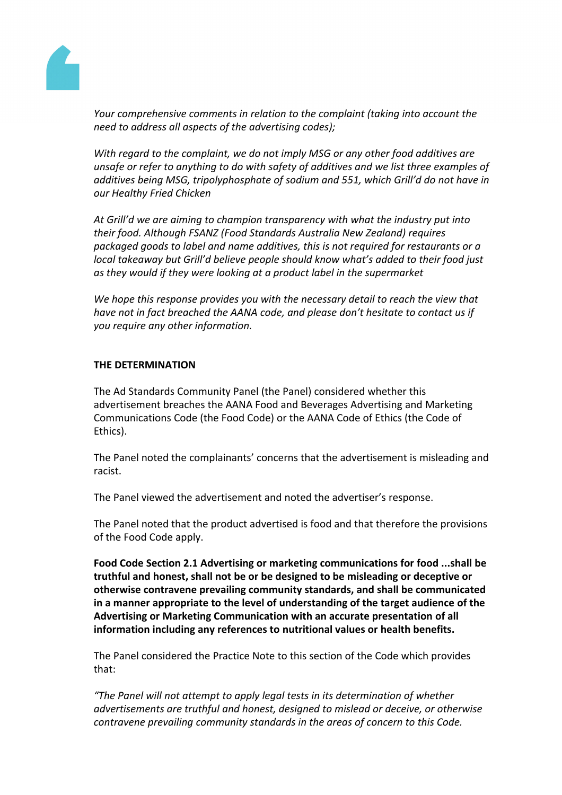

*Your comprehensive comments in relation to the complaint (taking into account the need to address all aspects of the advertising codes);*

*With regard to the complaint, we do not imply MSG or any other food additives are unsafe or refer to anything to do with safety of additives and we list three examples of additives being MSG, tripolyphosphate of sodium and 551, which Grill'd do not have in our Healthy Fried Chicken*

*At Grill'd we are aiming to champion transparency with what the industry put into their food. Although FSANZ (Food Standards Australia New Zealand) requires packaged goods to label and name additives, this is not required for restaurants or a local takeaway but Grill'd believe people should know what's added to their food just as they would if they were looking at a product label in the supermarket*

*We hope this response provides you with the necessary detail to reach the view that have not in fact breached the AANA code, and please don't hesitate to contact us if you require any other information.*

# **THE DETERMINATION**

The Ad Standards Community Panel (the Panel) considered whether this advertisement breaches the AANA Food and Beverages Advertising and Marketing Communications Code (the Food Code) or the AANA Code of Ethics (the Code of Ethics).

The Panel noted the complainants' concerns that the advertisement is misleading and racist.

The Panel viewed the advertisement and noted the advertiser's response.

The Panel noted that the product advertised is food and that therefore the provisions of the Food Code apply.

**Food Code Section 2.1 Advertising or marketing communications for food ...shall be truthful and honest, shall not be or be designed to be misleading or deceptive or otherwise contravene prevailing community standards, and shall be communicated in a manner appropriate to the level of understanding of the target audience of the Advertising or Marketing Communication with an accurate presentation of all information including any references to nutritional values or health benefits.**

The Panel considered the Practice Note to this section of the Code which provides that:

*"The Panel will not attempt to apply legal tests in its determination of whether advertisements are truthful and honest, designed to mislead or deceive, or otherwise contravene prevailing community standards in the areas of concern to this Code.*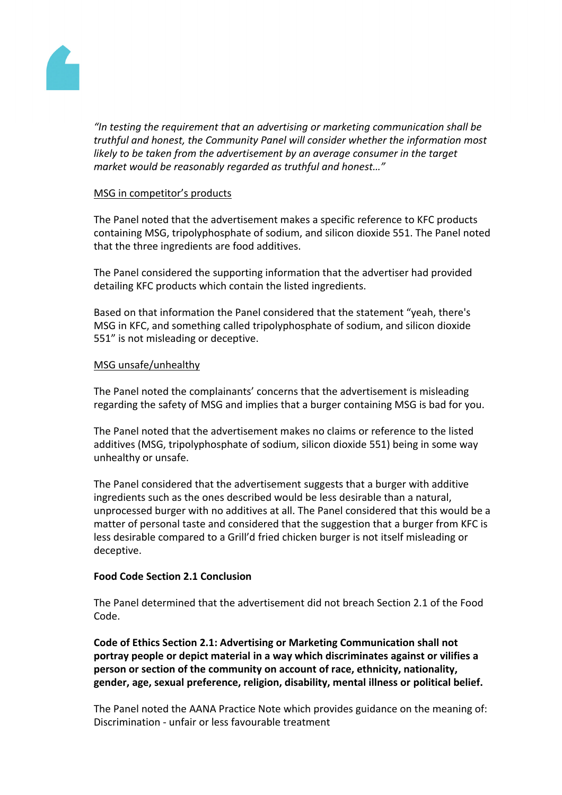

*"In testing the requirement that an advertising or marketing communication shall be truthful and honest, the Community Panel will consider whether the information most likely to be taken from the advertisement by an average consumer in the target market would be reasonably regarded as truthful and honest…"*

# MSG in competitor's products

The Panel noted that the advertisement makes a specific reference to KFC products containing MSG, tripolyphosphate of sodium, and silicon dioxide 551. The Panel noted that the three ingredients are food additives.

The Panel considered the supporting information that the advertiser had provided detailing KFC products which contain the listed ingredients.

Based on that information the Panel considered that the statement "yeah, there's MSG in KFC, and something called tripolyphosphate of sodium, and silicon dioxide 551" is not misleading or deceptive.

# MSG unsafe/unhealthy

The Panel noted the complainants' concerns that the advertisement is misleading regarding the safety of MSG and implies that a burger containing MSG is bad for you.

The Panel noted that the advertisement makes no claims or reference to the listed additives (MSG, tripolyphosphate of sodium, silicon dioxide 551) being in some way unhealthy or unsafe.

The Panel considered that the advertisement suggests that a burger with additive ingredients such as the ones described would be less desirable than a natural, unprocessed burger with no additives at all. The Panel considered that this would be a matter of personal taste and considered that the suggestion that a burger from KFC is less desirable compared to a Grill'd fried chicken burger is not itself misleading or deceptive.

# **Food Code Section 2.1 Conclusion**

The Panel determined that the advertisement did not breach Section 2.1 of the Food Code.

**Code of Ethics Section 2.1: Advertising or Marketing Communication shall not portray people or depict material in a way which discriminates against or vilifies a person or section of the community on account of race, ethnicity, nationality, gender, age, sexual preference, religion, disability, mental illness or political belief.**

The Panel noted the AANA Practice Note which provides guidance on the meaning of: Discrimination - unfair or less favourable treatment